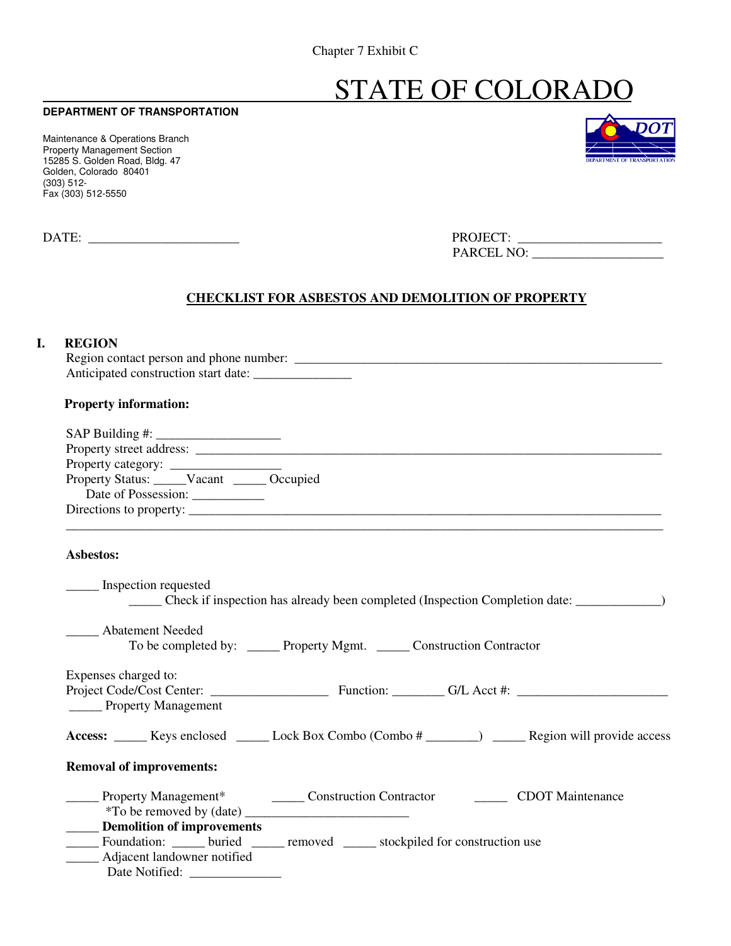Chapter 7 Exhibit C

# STATE OF COLORADO

### **DEPARTMENT OF TRANSPORTATION**

Maintenance & Operations Branch Property Management Section 15285 S. Golden Road, Bldg. 47 Golden, Colorado 80401 (303) 512- Fax (303) 512-5550

| ,,,,                                |
|-------------------------------------|
|                                     |
|                                     |
| <b>DEPARTMENT OF TRANSPORTATION</b> |

| <b>DATE</b> | <b>PROJECT</b><br>LA. |
|-------------|-----------------------|
|             | PARCEL NO:            |

### **CHECKLIST FOR ASBESTOS AND DEMOLITION OF PROPERTY**

## **I. REGION**

 Region contact person and phone number: \_\_\_\_\_\_\_\_\_\_\_\_\_\_\_\_\_\_\_\_\_\_\_\_\_\_\_\_\_\_\_\_\_\_\_\_\_\_\_\_\_\_\_\_\_\_\_\_\_\_\_\_\_\_\_\_ Anticipated construction start date: \_\_\_\_\_\_\_\_\_\_\_\_\_\_\_

#### **Property information:**

| Property Status: _____Vacant _____ Occupied |                                                                                                      |
|---------------------------------------------|------------------------------------------------------------------------------------------------------|
|                                             |                                                                                                      |
|                                             |                                                                                                      |
| Asbestos:                                   |                                                                                                      |
| Inspection requested                        | _______ Check if inspection has already been completed (Inspection Completion date: _______________) |
| <b>Abatement Needed</b>                     |                                                                                                      |
|                                             | To be completed by: _______ Property Mgmt. _______ Construction Contractor                           |
| Expenses charged to:                        |                                                                                                      |
| _____ Property Management                   |                                                                                                      |
|                                             | Access: _____ Keys enclosed _____ Lock Box Combo (Combo # ______) _____ Region will provide access   |
| <b>Removal of improvements:</b>             |                                                                                                      |
|                                             | Property Management* _________ Construction Contractor ___________ CDOT Maintenance                  |
|                                             |                                                                                                      |
| <b>____</b> Demolition of improvements      |                                                                                                      |
|                                             | ______ Foundation: ______ buried ______ removed ______ stockpiled for construction use               |
| Adjacent landowner notified                 |                                                                                                      |
| Date Notified: ______________               |                                                                                                      |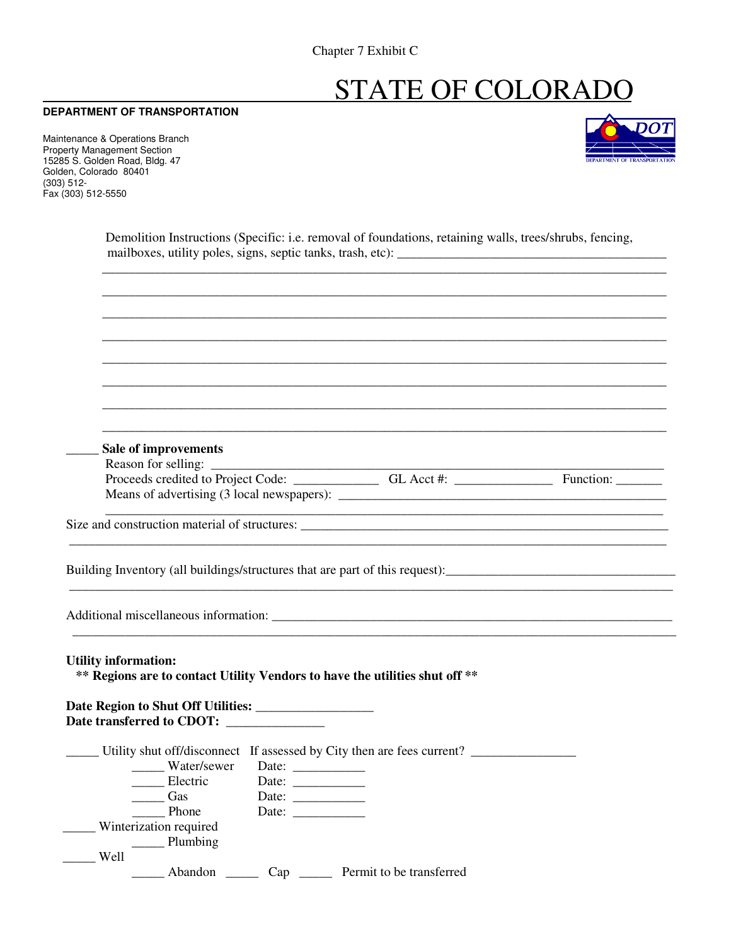# STATE OF COLORADO

#### **DEPARTMENT OF TRANSPORTATION**

Maintenance & Operations Branch Property Management Section 15285 S. Golden Road, Bldg. 47 Golden, Colorado 80401 (303) 512- Fax (303) 512-5550



 Demolition Instructions (Specific: i.e. removal of foundations, retaining walls, trees/shrubs, fencing, mailboxes, utility poles, signs, septic tanks, trash, etc): \_\_\_\_\_\_\_\_\_\_\_\_\_\_\_\_\_\_\_\_\_\_\_\_\_\_\_\_\_\_\_\_\_\_\_\_\_\_\_\_\_

 \_\_\_\_\_\_\_\_\_\_\_\_\_\_\_\_\_\_\_\_\_\_\_\_\_\_\_\_\_\_\_\_\_\_\_\_\_\_\_\_\_\_\_\_\_\_\_\_\_\_\_\_\_\_\_\_\_\_\_\_\_\_\_\_\_\_\_\_\_\_\_\_\_\_\_\_\_\_\_\_\_\_\_\_\_\_ \_\_\_\_\_\_\_\_\_\_\_\_\_\_\_\_\_\_\_\_\_\_\_\_\_\_\_\_\_\_\_\_\_\_\_\_\_\_\_\_\_\_\_\_\_\_\_\_\_\_\_\_\_\_\_\_\_\_\_\_\_\_\_\_\_\_\_\_\_\_\_\_\_\_\_\_\_\_\_\_\_\_\_\_\_\_ \_\_\_\_\_\_\_\_\_\_\_\_\_\_\_\_\_\_\_\_\_\_\_\_\_\_\_\_\_\_\_\_\_\_\_\_\_\_\_\_\_\_\_\_\_\_\_\_\_\_\_\_\_\_\_\_\_\_\_\_\_\_\_\_\_\_\_\_\_\_\_\_\_\_\_\_\_\_\_\_\_\_\_\_\_\_ \_\_\_\_\_\_\_\_\_\_\_\_\_\_\_\_\_\_\_\_\_\_\_\_\_\_\_\_\_\_\_\_\_\_\_\_\_\_\_\_\_\_\_\_\_\_\_\_\_\_\_\_\_\_\_\_\_\_\_\_\_\_\_\_\_\_\_\_\_\_\_\_\_\_\_\_\_\_\_\_\_\_\_\_\_\_ \_\_\_\_\_\_\_\_\_\_\_\_\_\_\_\_\_\_\_\_\_\_\_\_\_\_\_\_\_\_\_\_\_\_\_\_\_\_\_\_\_\_\_\_\_\_\_\_\_\_\_\_\_\_\_\_\_\_\_\_\_\_\_\_\_\_\_\_\_\_\_\_\_\_\_\_\_\_\_\_\_\_\_\_\_\_ \_\_\_\_\_\_\_\_\_\_\_\_\_\_\_\_\_\_\_\_\_\_\_\_\_\_\_\_\_\_\_\_\_\_\_\_\_\_\_\_\_\_\_\_\_\_\_\_\_\_\_\_\_\_\_\_\_\_\_\_\_\_\_\_\_\_\_\_\_\_\_\_\_\_\_\_\_\_\_\_\_\_\_\_\_\_

| Means of advertising (3 local newspapers): |  |  |
|--------------------------------------------|--|--|
|                                            |  |  |
|                                            |  |  |
|                                            |  |  |
|                                            |  |  |

\_\_\_\_\_\_\_\_\_\_\_\_\_\_\_\_\_\_\_\_\_\_\_\_\_\_\_\_\_\_\_\_\_\_\_\_\_\_\_\_\_\_\_\_\_\_\_\_\_\_\_\_\_\_\_\_\_\_\_\_\_\_\_\_\_\_\_\_\_\_\_\_\_\_\_\_\_\_\_\_\_\_\_\_\_\_\_\_\_\_\_\_

Additional miscellaneous information: \_\_\_\_\_\_\_\_\_\_\_\_\_\_\_\_\_\_\_\_\_\_\_\_\_\_\_\_\_\_\_\_\_\_\_\_\_\_\_\_\_\_\_\_\_\_\_\_\_\_\_\_\_\_\_\_\_\_\_\_\_

 **Utility information: \*\* Regions are to contact Utility Vendors to have the utilities shut off \*\*** 

 **Date Region to Shut Off Utilities: \_\_\_\_\_\_\_\_\_\_\_\_\_\_\_\_\_\_**  Date transferred to CDOT: \_\_\_\_\_ Utility shut off/disconnect If assessed by City then are fees current? \_\_\_\_\_\_\_\_\_\_\_\_\_\_\_\_ \_\_\_\_\_\_ Water/sewer Date: \_\_\_\_\_\_\_\_\_\_\_ \_\_\_\_\_\_ Electric Date: \_\_\_\_\_\_\_\_\_\_\_\_ Gas Date: \_\_\_\_\_ Phone Date: \_\_\_\_\_\_\_\_\_\_\_ \_\_\_\_\_ Winterization required \_\_\_\_\_ Plumbing \_\_\_\_\_ Well \_\_\_\_\_ Abandon \_\_\_\_\_ Cap \_\_\_\_\_ Permit to be transferred